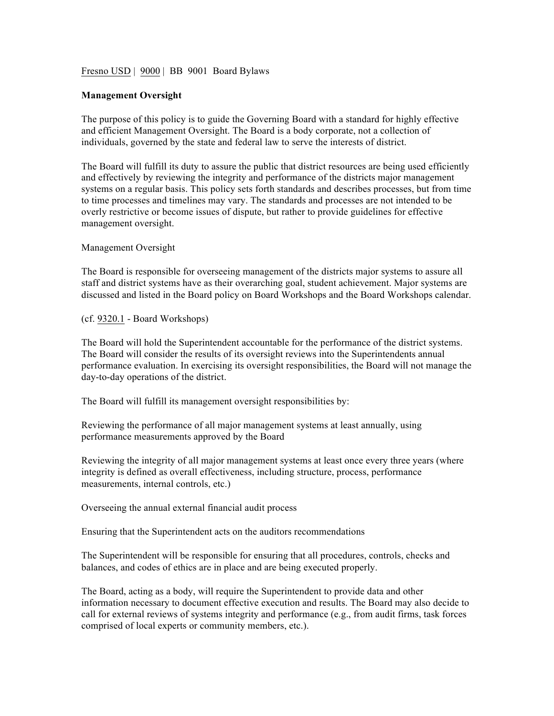Fresno USD | 9000 | BB 9001 Board Bylaws

## **Management Oversight**

The purpose of this policy is to guide the Governing Board with a standard for highly effective and efficient Management Oversight. The Board is a body corporate, not a collection of individuals, governed by the state and federal law to serve the interests of district.

The Board will fulfill its duty to assure the public that district resources are being used efficiently and effectively by reviewing the integrity and performance of the districts major management systems on a regular basis. This policy sets forth standards and describes processes, but from time to time processes and timelines may vary. The standards and processes are not intended to be overly restrictive or become issues of dispute, but rather to provide guidelines for effective management oversight.

Management Oversight

The Board is responsible for overseeing management of the districts major systems to assure all staff and district systems have as their overarching goal, student achievement. Major systems are discussed and listed in the Board policy on Board Workshops and the Board Workshops calendar.

(cf. 9320.1 - Board Workshops)

The Board will hold the Superintendent accountable for the performance of the district systems. The Board will consider the results of its oversight reviews into the Superintendents annual performance evaluation. In exercising its oversight responsibilities, the Board will not manage the day-to-day operations of the district.

The Board will fulfill its management oversight responsibilities by:

Reviewing the performance of all major management systems at least annually, using performance measurements approved by the Board

Reviewing the integrity of all major management systems at least once every three years (where integrity is defined as overall effectiveness, including structure, process, performance measurements, internal controls, etc.)

Overseeing the annual external financial audit process

Ensuring that the Superintendent acts on the auditors recommendations

The Superintendent will be responsible for ensuring that all procedures, controls, checks and balances, and codes of ethics are in place and are being executed properly.

The Board, acting as a body, will require the Superintendent to provide data and other information necessary to document effective execution and results. The Board may also decide to call for external reviews of systems integrity and performance (e.g., from audit firms, task forces comprised of local experts or community members, etc.).